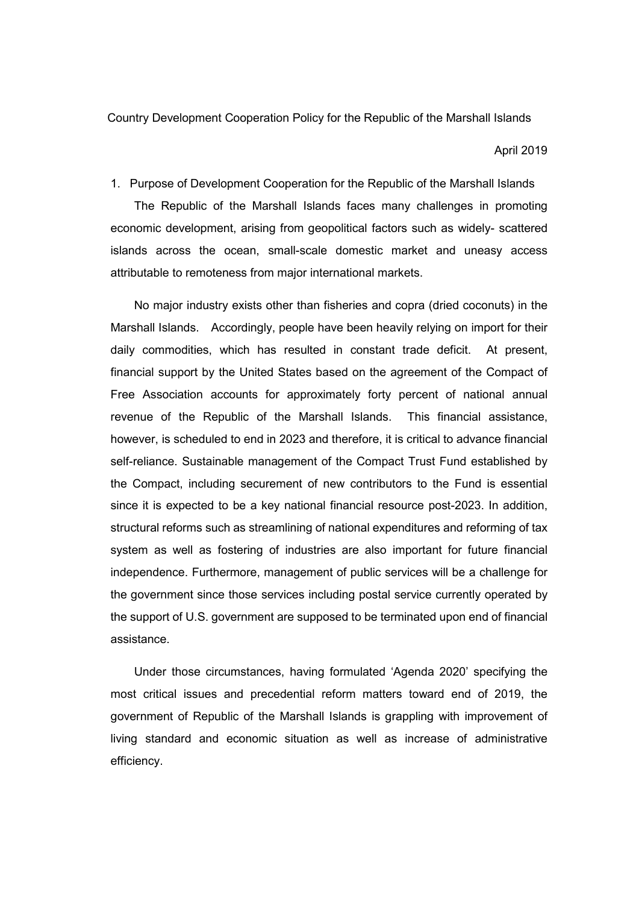Country Development Cooperation Policy for the Republic of the Marshall Islands

April 2019

1. Purpose of Development Cooperation for the Republic of the Marshall Islands

The Republic of the Marshall Islands faces many challenges in promoting economic development, arising from geopolitical factors such as widely- scattered islands across the ocean, small-scale domestic market and uneasy access attributable to remoteness from major international markets.

No major industry exists other than fisheries and copra (dried coconuts) in the Marshall Islands. Accordingly, people have been heavily relying on import for their daily commodities, which has resulted in constant trade deficit. At present, financial support by the United States based on the agreement of the Compact of Free Association accounts for approximately forty percent of national annual revenue of the Republic of the Marshall Islands. This financial assistance, however, is scheduled to end in 2023 and therefore, it is critical to advance financial self-reliance. Sustainable management of the Compact Trust Fund established by the Compact, including securement of new contributors to the Fund is essential since it is expected to be a key national financial resource post-2023. In addition, structural reforms such as streamlining of national expenditures and reforming of tax system as well as fostering of industries are also important for future financial independence. Furthermore, management of public services will be a challenge for the government since those services including postal service currently operated by the support of U.S. government are supposed to be terminated upon end of financial assistance.

Under those circumstances, having formulated 'Agenda 2020' specifying the most critical issues and precedential reform matters toward end of 2019, the government of Republic of the Marshall Islands is grappling with improvement of living standard and economic situation as well as increase of administrative efficiency.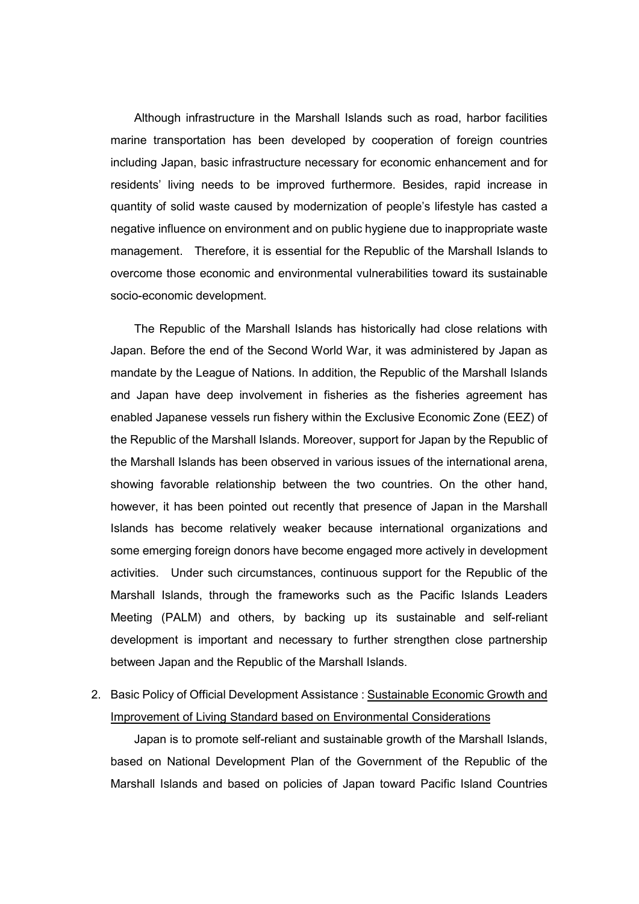Although infrastructure in the Marshall Islands such as road, harbor facilities marine transportation has been developed by cooperation of foreign countries including Japan, basic infrastructure necessary for economic enhancement and for residents' living needs to be improved furthermore. Besides, rapid increase in quantity of solid waste caused by modernization of people's lifestyle has casted a negative influence on environment and on public hygiene due to inappropriate waste management. Therefore, it is essential for the Republic of the Marshall Islands to overcome those economic and environmental vulnerabilities toward its sustainable socio-economic development.

The Republic of the Marshall Islands has historically had close relations with Japan. Before the end of the Second World War, it was administered by Japan as mandate by the League of Nations. In addition, the Republic of the Marshall Islands and Japan have deep involvement in fisheries as the fisheries agreement has enabled Japanese vessels run fishery within the Exclusive Economic Zone (EEZ) of the Republic of the Marshall Islands. Moreover, support for Japan by the Republic of the Marshall Islands has been observed in various issues of the international arena, showing favorable relationship between the two countries. On the other hand, however, it has been pointed out recently that presence of Japan in the Marshall Islands has become relatively weaker because international organizations and some emerging foreign donors have become engaged more actively in development activities. Under such circumstances, continuous support for the Republic of the Marshall Islands, through the frameworks such as the Pacific Islands Leaders Meeting (PALM) and others, by backing up its sustainable and self-reliant development is important and necessary to further strengthen close partnership between Japan and the Republic of the Marshall Islands.

2. Basic Policy of Official Development Assistance : Sustainable Economic Growth and Improvement of Living Standard based on Environmental Considerations

Japan is to promote self-reliant and sustainable growth of the Marshall Islands, based on National Development Plan of the Government of the Republic of the Marshall Islands and based on policies of Japan toward Pacific Island Countries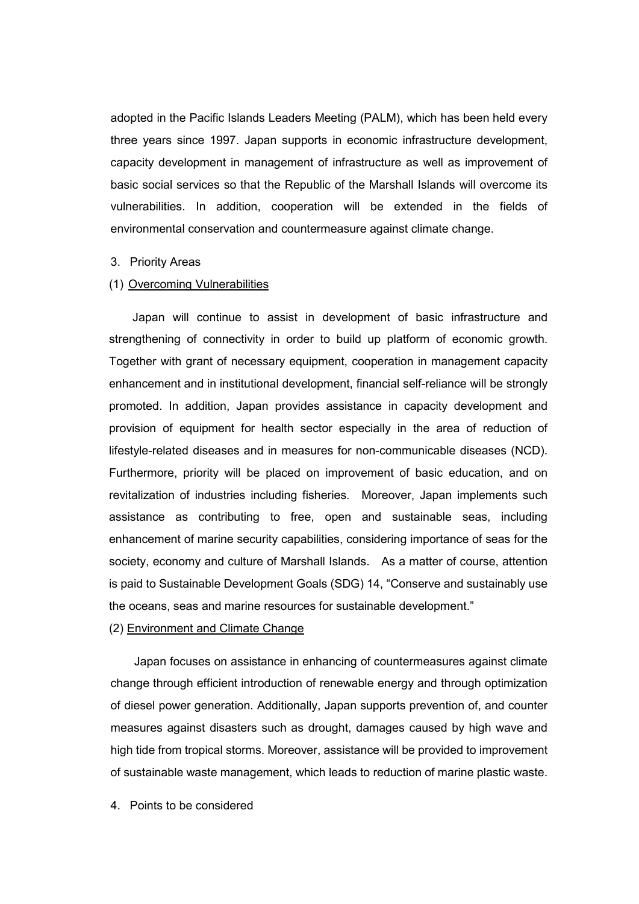adopted in the Pacific Islands Leaders Meeting (PALM), which has been held every three years since 1997. Japan supports in economic infrastructure development, capacity development in management of infrastructure as well as improvement of basic social services so that the Republic of the Marshall Islands will overcome its vulnerabilities. In addition, cooperation will be extended in the fields of environmental conservation and countermeasure against climate change.

## 3. Priority Areas

## (1) Overcoming Vulnerabilities

Japan will continue to assist in development of basic infrastructure and strengthening of connectivity in order to build up platform of economic growth. Together with grant of necessary equipment, cooperation in management capacity enhancement and in institutional development, financial self-reliance will be strongly promoted. In addition, Japan provides assistance in capacity development and provision of equipment for health sector especially in the area of reduction of lifestyle-related diseases and in measures for non-communicable diseases (NCD). Furthermore, priority will be placed on improvement of basic education, and on revitalization of industries including fisheries. Moreover, Japan implements such assistance as contributing to free, open and sustainable seas, including enhancement of marine security capabilities, considering importance of seas for the society, economy and culture of Marshall Islands. As a matter of course, attention is paid to Sustainable Development Goals (SDG) 14, "Conserve and sustainably use the oceans, seas and marine resources for sustainable development."

## (2) Environment and Climate Change

Japan focuses on assistance in enhancing of countermeasures against climate change through efficient introduction of renewable energy and through optimization of diesel power generation. Additionally, Japan supports prevention of, and counter measures against disasters such as drought, damages caused by high wave and high tide from tropical storms. Moreover, assistance will be provided to improvement of sustainable waste management, which leads to reduction of marine plastic waste.

4. Points to be considered